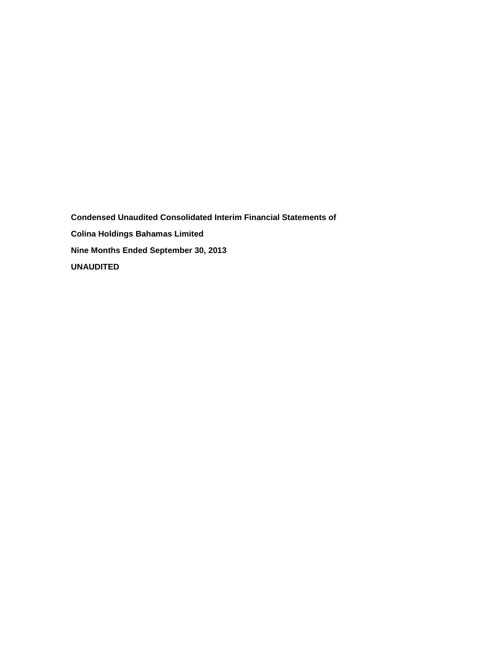**Condensed Unaudited Consolidated Interim Financial Statements of Colina Holdings Bahamas Limited Nine Months Ended September 30, 2013 UNAUDITED**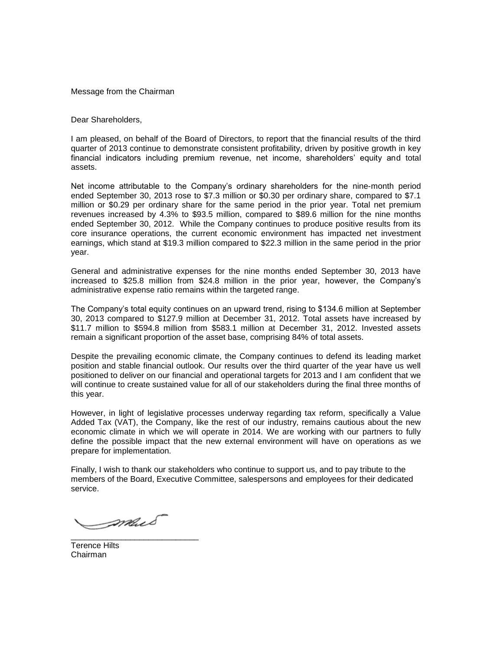Message from the Chairman

Dear Shareholders,

I am pleased, on behalf of the Board of Directors, to report that the financial results of the third quarter of 2013 continue to demonstrate consistent profitability, driven by positive growth in key financial indicators including premium revenue, net income, shareholders' equity and total assets.

Net income attributable to the Company's ordinary shareholders for the nine-month period ended September 30, 2013 rose to \$7.3 million or \$0.30 per ordinary share, compared to \$7.1 million or \$0.29 per ordinary share for the same period in the prior year. Total net premium revenues increased by 4.3% to \$93.5 million, compared to \$89.6 million for the nine months ended September 30, 2012. While the Company continues to produce positive results from its core insurance operations, the current economic environment has impacted net investment earnings, which stand at \$19.3 million compared to \$22.3 million in the same period in the prior year.

General and administrative expenses for the nine months ended September 30, 2013 have increased to \$25.8 million from \$24.8 million in the prior year, however, the Company's administrative expense ratio remains within the targeted range.

The Company's total equity continues on an upward trend, rising to \$134.6 million at September 30, 2013 compared to \$127.9 million at December 31, 2012. Total assets have increased by \$11.7 million to \$594.8 million from \$583.1 million at December 31, 2012. Invested assets remain a significant proportion of the asset base, comprising 84% of total assets.

Despite the prevailing economic climate, the Company continues to defend its leading market position and stable financial outlook. Our results over the third quarter of the year have us well positioned to deliver on our financial and operational targets for 2013 and I am confident that we will continue to create sustained value for all of our stakeholders during the final three months of this year.

However, in light of legislative processes underway regarding tax reform, specifically a Value Added Tax (VAT), the Company, like the rest of our industry, remains cautious about the new economic climate in which we will operate in 2014. We are working with our partners to fully define the possible impact that the new external environment will have on operations as we prepare for implementation.

Finally, I wish to thank our stakeholders who continue to support us, and to pay tribute to the members of the Board, Executive Committee, salespersons and employees for their dedicated service.

mus \_\_\_\_\_\_\_\_\_\_\_\_\_\_\_\_\_\_\_\_\_\_\_\_\_\_\_\_

Terence Hilts Chairman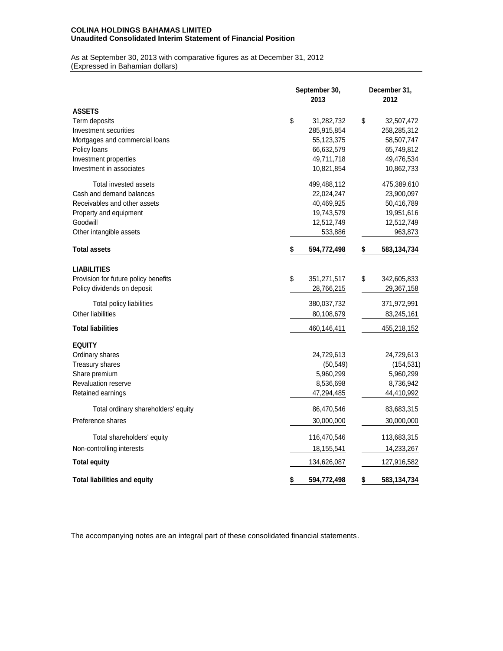## **COLINA HOLDINGS BAHAMAS LIMITED Unaudited Consolidated Interim Statement of Financial Position**

As at September 30, 2013 with comparative figures as at December 31, 2012 (Expressed in Bahamian dollars)

| As at September 30, 2013 with comparative lightes as at December 31, 2012<br>(Expressed in Bahamian dollars) |                       |    |                      |
|--------------------------------------------------------------------------------------------------------------|-----------------------|----|----------------------|
|                                                                                                              | September 30,<br>2013 |    | December 31,<br>2012 |
| <b>ASSETS</b>                                                                                                |                       |    |                      |
| Term deposits                                                                                                | \$<br>31,282,732      | \$ | 32,507,472           |
| Investment securities                                                                                        | 285,915,854           |    | 258,285,312          |
| Mortgages and commercial loans                                                                               | 55,123,375            |    | 58,507,747           |
| Policy loans                                                                                                 | 66,632,579            |    | 65,749,812           |
| Investment properties                                                                                        | 49,711,718            |    | 49,476,534           |
| Investment in associates                                                                                     | 10,821,854            |    | 10,862,733           |
| Total invested assets                                                                                        | 499,488,112           |    | 475,389,610          |
| Cash and demand balances                                                                                     | 22,024,247            |    | 23,900,097           |
| Receivables and other assets                                                                                 | 40,469,925            |    | 50,416,789           |
| Property and equipment                                                                                       | 19,743,579            |    | 19,951,616           |
| Goodwill                                                                                                     | 12,512,749            |    | 12,512,749           |
| Other intangible assets                                                                                      | 533,886               |    | 963,873              |
| <b>Total assets</b>                                                                                          | \$<br>594,772,498     | \$ | 583,134,734          |
| <b>LIABILITIES</b>                                                                                           |                       |    |                      |
| Provision for future policy benefits                                                                         | \$<br>351,271,517     | \$ | 342,605,833          |
| Policy dividends on deposit                                                                                  | 28,766,215            |    | 29,367,158           |
| Total policy liabilities                                                                                     | 380,037,732           |    | 371,972,991          |
| Other liabilities                                                                                            | 80,108,679            |    | 83,245,161           |
| <b>Total liabilities</b>                                                                                     | 460,146,411           |    | 455,218,152          |
| <b>EQUITY</b>                                                                                                |                       |    |                      |
| Ordinary shares                                                                                              | 24,729,613            |    | 24,729,613           |
| Treasury shares                                                                                              | (50, 549)             |    | (154, 531)           |
| Share premium                                                                                                | 5,960,299             |    | 5,960,299            |
| Revaluation reserve                                                                                          | 8,536,698             |    | 8,736,942            |
| Retained earnings                                                                                            | 47,294,485            |    | 44,410,992           |
| Total ordinary shareholders' equity                                                                          | 86,470,546            |    | 83,683,315           |
| Preference shares                                                                                            | 30,000,000            |    | 30,000,000           |
| Total shareholders' equity                                                                                   | 116,470,546           |    | 113,683,315          |
| Non-controlling interests                                                                                    | 18,155,541            |    | 14,233,267           |
| <b>Total equity</b>                                                                                          | 134,626,087           |    | 127,916,582          |
| <b>Total liabilities and equity</b>                                                                          | \$<br>594,772,498     | \$ | 583,134,734          |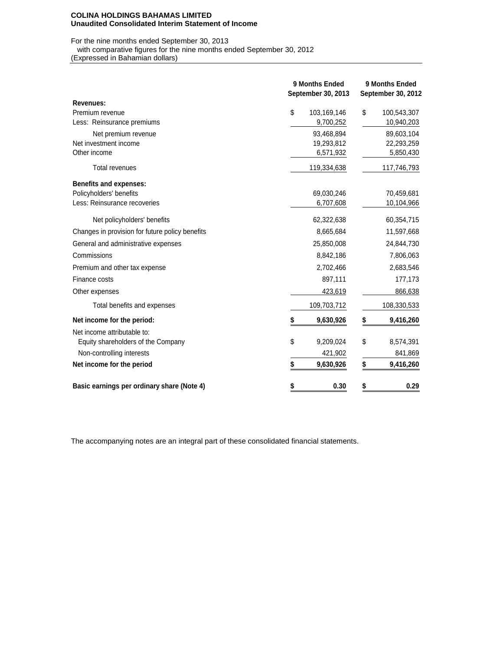#### **COLINA HOLDINGS BAHAMAS LIMITED Unaudited Consolidated Interim Statement of Income**

For the nine months ended September 30, 2013

with comparative figures for the nine months ended September 30, 2012

| 110111011111011110111000<br>(Expressed in Bahamian dollars) |                                      |                                      |  |  |  |  |  |
|-------------------------------------------------------------|--------------------------------------|--------------------------------------|--|--|--|--|--|
|                                                             | 9 Months Ended<br>September 30, 2013 | 9 Months Ended<br>September 30, 2012 |  |  |  |  |  |
| <b>Revenues:</b>                                            |                                      |                                      |  |  |  |  |  |
| Premium revenue                                             | \$<br>103,169,146                    | \$<br>100,543,307                    |  |  |  |  |  |
| Less: Reinsurance premiums                                  | 9,700,252                            | 10,940,203                           |  |  |  |  |  |
| Net premium revenue                                         | 93,468,894                           | 89,603,104                           |  |  |  |  |  |
| Net investment income<br>Other income                       | 19,293,812<br>6,571,932              | 22,293,259<br>5,850,430              |  |  |  |  |  |
|                                                             |                                      |                                      |  |  |  |  |  |
| <b>Total revenues</b>                                       | 119,334,638                          | 117,746,793                          |  |  |  |  |  |
| <b>Benefits and expenses:</b>                               |                                      |                                      |  |  |  |  |  |
| Policyholders' benefits                                     | 69,030,246                           | 70,459,681                           |  |  |  |  |  |
| Less: Reinsurance recoveries                                | 6,707,608                            | 10,104,966                           |  |  |  |  |  |
| Net policyholders' benefits                                 | 62,322,638                           | 60,354,715                           |  |  |  |  |  |
| Changes in provision for future policy benefits             | 8,665,684                            | 11,597,668                           |  |  |  |  |  |
| General and administrative expenses                         | 25,850,008                           | 24,844,730                           |  |  |  |  |  |
| Commissions                                                 | 8,842,186                            | 7,806,063                            |  |  |  |  |  |
| Premium and other tax expense                               | 2,702,466                            | 2,683,546                            |  |  |  |  |  |
| Finance costs                                               | 897,111                              | 177,173                              |  |  |  |  |  |
| Other expenses                                              | 423,619                              | 866,638                              |  |  |  |  |  |
| Total benefits and expenses                                 | 109,703,712                          | 108,330,533                          |  |  |  |  |  |
| Net income for the period:                                  | \$<br>9,630,926                      | \$<br>9,416,260                      |  |  |  |  |  |
| Net income attributable to:                                 |                                      |                                      |  |  |  |  |  |
| Equity shareholders of the Company                          | \$<br>9,209,024                      | \$<br>8,574,391                      |  |  |  |  |  |
| Non-controlling interests                                   | 421,902                              | 841,869                              |  |  |  |  |  |
| Net income for the period                                   | \$<br>9,630,926                      | \$<br>9,416,260                      |  |  |  |  |  |
| Basic earnings per ordinary share (Note 4)                  | 0.30<br>S                            | 0.29<br>\$                           |  |  |  |  |  |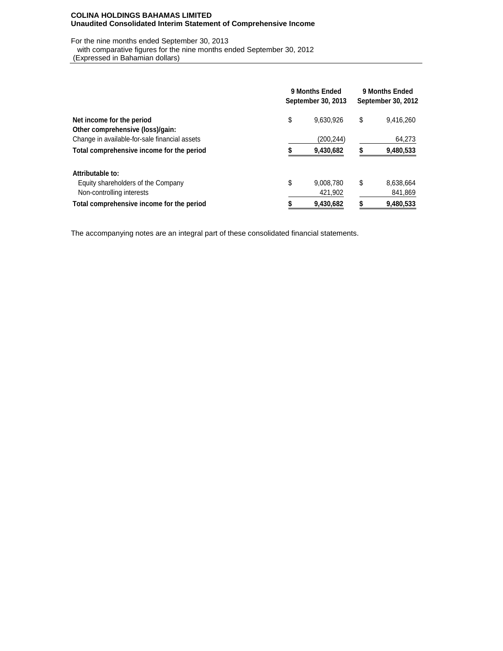### **COLINA HOLDINGS BAHAMAS LIMITED Unaudited Consolidated Interim Statement of Comprehensive Income**

For the nine months ended September 30, 2013

with comparative figures for the nine months ended September 30, 2012

(Expressed in Bahamian dollars)

|                                               | 9 Months Ended<br>September 30, 2013 |           |    | 9 Months Ended<br>September 30, 2012 |  |  |  |
|-----------------------------------------------|--------------------------------------|-----------|----|--------------------------------------|--|--|--|
| Net income for the period                     | \$                                   | 9,630,926 | \$ | 9,416,260                            |  |  |  |
| Other comprehensive (loss)/gain:              |                                      |           |    |                                      |  |  |  |
| Change in available-for-sale financial assets |                                      | (200,244) |    | 64,273                               |  |  |  |
| Total comprehensive income for the period     |                                      | 9,430,682 |    | 9,480,533                            |  |  |  |
| Attributable to:                              |                                      |           |    |                                      |  |  |  |
| Equity shareholders of the Company            | \$                                   | 9,008,780 | \$ | 8,638,664                            |  |  |  |
| Non-controlling interests                     |                                      | 421.902   |    | 841,869                              |  |  |  |
| Total comprehensive income for the period     | \$                                   | 9,430,682 |    | 9,480,533                            |  |  |  |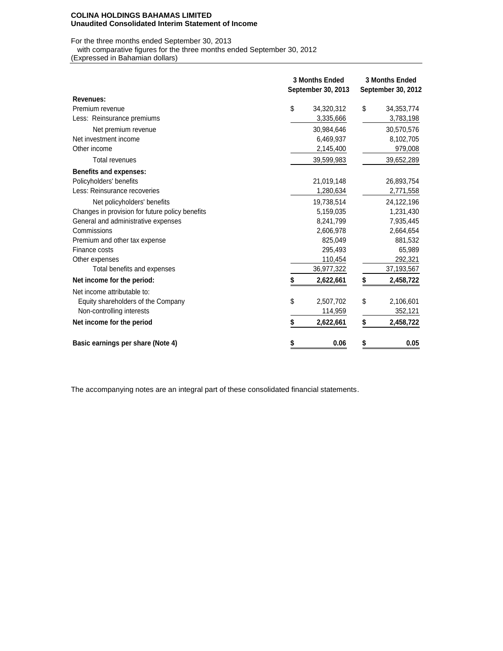#### **COLINA HOLDINGS BAHAMAS LIMITED Unaudited Consolidated Interim Statement of Income**

For the three months ended September 30, 2013

with comparative figures for the three months ended September 30, 2012

| with comparative figures for the three months ended September 30, 2012<br>(Expressed in Bahamian dollars) |                           |                           |
|-----------------------------------------------------------------------------------------------------------|---------------------------|---------------------------|
|                                                                                                           |                           |                           |
|                                                                                                           | <b>3 Months Ended</b>     | <b>3 Months Ended</b>     |
|                                                                                                           | <b>September 30, 2013</b> | <b>September 30, 2012</b> |
| Revenues:                                                                                                 |                           |                           |
| Premium revenue                                                                                           | \$<br>34,320,312          | \$<br>34, 353, 774        |
| Less: Reinsurance premiums                                                                                | 3,335,666                 | 3,783,198                 |
| Net premium revenue                                                                                       | 30,984,646                | 30,570,576                |
| Net investment income                                                                                     | 6,469,937                 | 8,102,705                 |
| Other income                                                                                              | 2,145,400                 | 979,008                   |
| Total revenues                                                                                            | 39,599,983                | 39,652,289                |
| <b>Benefits and expenses:</b>                                                                             |                           |                           |
| Policyholders' benefits                                                                                   | 21,019,148                | 26,893,754                |
| Less: Reinsurance recoveries                                                                              | 1,280,634                 | 2,771,558                 |
| Net policyholders' benefits                                                                               | 19,738,514                | 24,122,196                |
| Changes in provision for future policy benefits                                                           | 5,159,035                 | 1,231,430                 |
| General and administrative expenses                                                                       | 8,241,799                 | 7,935,445                 |
| Commissions                                                                                               | 2,606,978                 | 2,664,654                 |
| Premium and other tax expense                                                                             | 825,049                   | 881,532                   |
| Finance costs                                                                                             | 295,493                   | 65,989                    |
| Other expenses                                                                                            | 110,454                   | 292,321                   |
| Total benefits and expenses                                                                               | 36,977,322                | 37,193,567                |
| Net income for the period:                                                                                | \$<br>2,622,661           | \$<br>2,458,722           |
| Net income attributable to:                                                                               |                           |                           |
| Equity shareholders of the Company                                                                        | \$<br>2,507,702           | \$<br>2,106,601           |
| Non-controlling interests                                                                                 | 114,959                   | 352, 121                  |
| Net income for the period                                                                                 | \$<br>2,622,661           | \$<br>2,458,722           |
| Basic earnings per share (Note 4)                                                                         | \$<br>0.06                | \$<br>0.05                |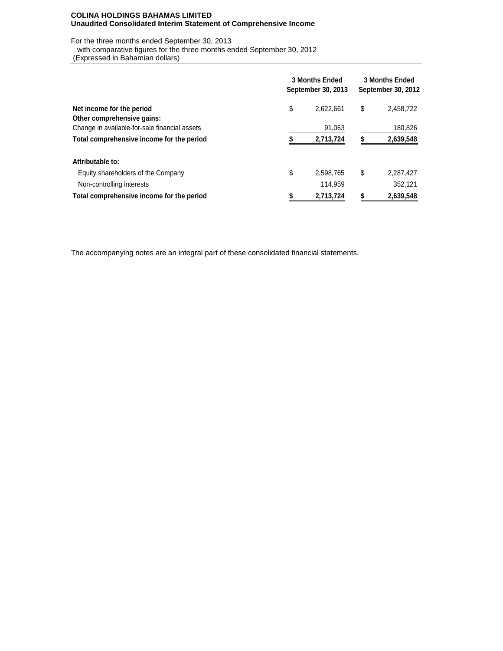### **COLINA HOLDINGS BAHAMAS LIMITED Unaudited Consolidated Interim Statement of Comprehensive Income**

For the three months ended September 30, 2013

with comparative figures for the three months ended September 30, 2012

(Expressed in Bahamian dollars)

|                                               | <b>3 Months Ended</b><br>September 30, 2013 | <b>3 Months Ended</b><br>September 30, 2012 |    |           |  |
|-----------------------------------------------|---------------------------------------------|---------------------------------------------|----|-----------|--|
| Net income for the period                     | \$                                          | 2,622,661                                   | \$ | 2,458,722 |  |
| Other comprehensive gains:                    |                                             |                                             |    |           |  |
| Change in available-for-sale financial assets |                                             | 91,063                                      |    | 180,826   |  |
| Total comprehensive income for the period     |                                             | 2,713,724                                   |    | 2,639,548 |  |
| Attributable to:                              |                                             |                                             |    |           |  |
| Equity shareholders of the Company            | \$                                          | 2,598,765                                   | S  | 2,287,427 |  |
| Non-controlling interests                     |                                             | 114.959                                     |    | 352,121   |  |
| Total comprehensive income for the period     |                                             | 2,713,724                                   |    | 2,639,548 |  |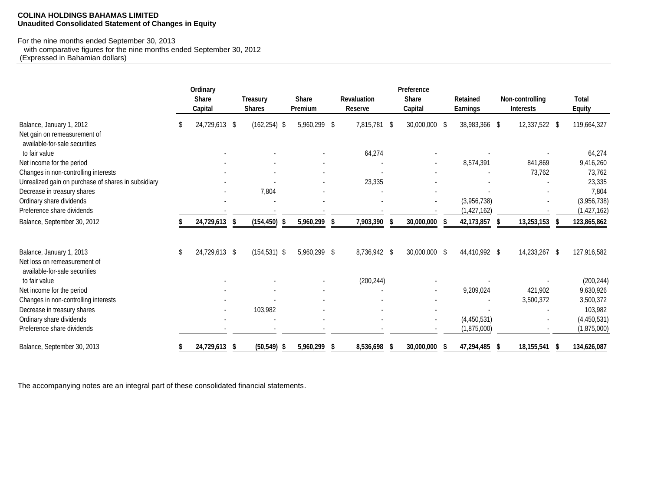### **COLINA HOLDINGS BAHAMAS LIMITED Unaudited Consolidated Statement of Changes in Equity**

#### For the nine months ended September 30, 2013

| or the rillie months ended September 30, 2013<br>with comparative figures for the nine months ended September 30, 2012<br>(Expressed in Bahamian dollars) |   |                                     |      |                                  |    |                         |    |                               |                                       |                                    |                                     |                               |
|-----------------------------------------------------------------------------------------------------------------------------------------------------------|---|-------------------------------------|------|----------------------------------|----|-------------------------|----|-------------------------------|---------------------------------------|------------------------------------|-------------------------------------|-------------------------------|
|                                                                                                                                                           |   | Ordinary<br><b>Share</b><br>Capital |      | <b>Treasury</b><br><b>Shares</b> |    | <b>Share</b><br>Premium |    | <b>Revaluation</b><br>Reserve | Preference<br><b>Share</b><br>Capital | <b>Retained</b><br><b>Earnings</b> | Non-controlling<br><b>Interests</b> | <b>Total</b><br><b>Equity</b> |
| Balance, January 1, 2012<br>Net gain on remeasurement of<br>available-for-sale securities                                                                 |   | 24,729,613 \$                       |      | $(162, 254)$ \$                  |    | 5,960,299 \$            |    | 7,815,781                     | \$<br>30,000,000 \$                   | 38,983,366 \$                      | 12,337,522 \$                       | 119,664,327                   |
| to fair value                                                                                                                                             |   |                                     |      |                                  |    |                         |    | 64,274                        |                                       |                                    |                                     | 64,274                        |
| Net income for the period                                                                                                                                 |   |                                     |      |                                  |    |                         |    |                               |                                       | 8,574,391                          | 841,869                             | 9,416,260                     |
| Changes in non-controlling interests                                                                                                                      |   |                                     |      |                                  |    |                         |    |                               |                                       |                                    | 73,762                              | 73,762                        |
| Unrealized gain on purchase of shares in subsidiary                                                                                                       |   |                                     |      |                                  |    |                         |    | 23,335                        |                                       |                                    |                                     | 23,335                        |
| Decrease in treasury shares                                                                                                                               |   |                                     |      | 7,804                            |    |                         |    |                               |                                       |                                    |                                     | 7,804                         |
| Ordinary share dividends                                                                                                                                  |   |                                     |      |                                  |    |                         |    |                               |                                       | (3,956,738)                        |                                     | (3,956,738)                   |
| Preference share dividends                                                                                                                                |   |                                     |      |                                  |    |                         |    |                               |                                       | (1, 427, 162)                      |                                     | (1, 427, 162)                 |
| Balance, September 30, 2012                                                                                                                               |   | 24,729,613                          | - \$ | (154, 450)                       | -S | 5,960,299               | -S | 7,903,390                     | 30,000,000                            | 42,173,857                         | 13,253,153                          | 123,865,862                   |
| Balance, January 1, 2013<br>Net loss on remeasurement of                                                                                                  | S | 24,729,613 \$                       |      | $(154, 531)$ \$                  |    | 5,960,299 \$            |    | 8,736,942 \$                  | 30,000,000 \$                         | 44,410,992 \$                      | 14,233,267 \$                       | 127,916,582                   |
| available-for-sale securities                                                                                                                             |   |                                     |      |                                  |    |                         |    |                               |                                       |                                    |                                     |                               |
| to fair value<br>Net income for the period                                                                                                                |   |                                     |      |                                  |    |                         |    | (200, 244)                    |                                       | 9,209,024                          | 421,902                             | (200, 244)<br>9,630,926       |
| Changes in non-controlling interests                                                                                                                      |   |                                     |      |                                  |    |                         |    |                               |                                       |                                    | 3,500,372                           | 3,500,372                     |
| Decrease in treasury shares                                                                                                                               |   |                                     |      | 103,982                          |    |                         |    |                               |                                       |                                    |                                     | 103,982                       |
| Ordinary share dividends                                                                                                                                  |   |                                     |      |                                  |    |                         |    |                               |                                       | (4,450,531)                        |                                     | (4,450,531)                   |
| Preference share dividends                                                                                                                                |   |                                     |      |                                  |    |                         |    |                               |                                       | (1,875,000)                        |                                     | (1,875,000)                   |
| Balance, September 30, 2013                                                                                                                               |   | 24,729,613                          | S    | (50, 549)                        |    | 5,960,299               |    | 8,536,698                     | 30,000,000                            | 47,294,485                         | 18,155,541                          | 134,626,087                   |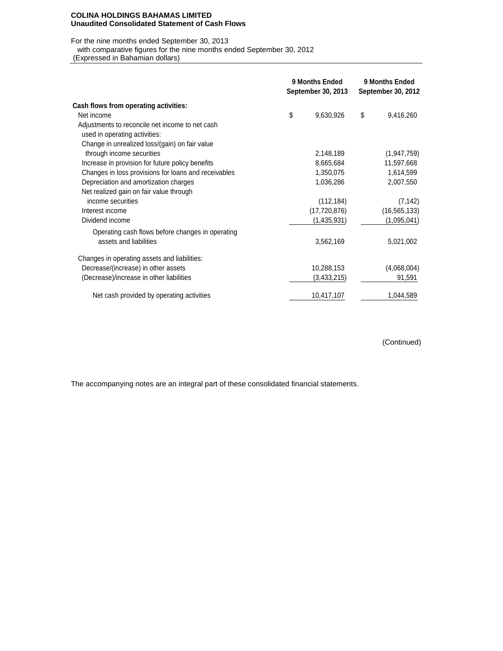#### **COLINA HOLDINGS BAHAMAS LIMITED Unaudited Consolidated Statement of Cash Flows**

For the nine months ended September 30, 2013

with comparative figures for the nine months ended September 30, 2012

| with comparative liqures for the nine months ended September 30, 2012<br>(Expressed in Bahamian dollars) |                                             |                |                                      |                |  |
|----------------------------------------------------------------------------------------------------------|---------------------------------------------|----------------|--------------------------------------|----------------|--|
|                                                                                                          | <b>9 Months Ended</b><br>September 30, 2013 |                | 9 Months Ended<br>September 30, 2012 |                |  |
| Cash flows from operating activities:                                                                    |                                             |                |                                      |                |  |
| Net income                                                                                               | \$                                          | 9,630,926      | \$                                   | 9,416,260      |  |
| Adjustments to reconcile net income to net cash                                                          |                                             |                |                                      |                |  |
| used in operating activities:                                                                            |                                             |                |                                      |                |  |
| Change in unrealized loss/(gain) on fair value                                                           |                                             |                |                                      |                |  |
| through income securities                                                                                |                                             | 2,148,189      |                                      | (1,947,759)    |  |
| Increase in provision for future policy benefits                                                         |                                             | 8,665,684      |                                      | 11,597,668     |  |
| Changes in loss provisions for loans and receivables                                                     |                                             | 1,350,075      |                                      | 1,614,599      |  |
| Depreciation and amortization charges                                                                    |                                             | 1,036,286      |                                      | 2,007,550      |  |
| Net realized gain on fair value through                                                                  |                                             |                |                                      |                |  |
| income securities                                                                                        |                                             | (112, 184)     |                                      | (7, 142)       |  |
| Interest income                                                                                          |                                             | (17, 720, 876) |                                      | (16, 565, 133) |  |
| Dividend income                                                                                          |                                             | (1,435,931)    |                                      | (1,095,041)    |  |
| Operating cash flows before changes in operating                                                         |                                             |                |                                      |                |  |
| assets and liabilities                                                                                   |                                             | 3,562,169      |                                      | 5,021,002      |  |
| Changes in operating assets and liabilities:                                                             |                                             |                |                                      |                |  |
| Decrease/(increase) in other assets                                                                      |                                             | 10,288,153     |                                      | (4,068,004)    |  |
| (Decrease)/increase in other liabilities                                                                 |                                             | (3,433,215)    |                                      | 91,591         |  |
| Net cash provided by operating activities                                                                |                                             | 10,417,107     |                                      | 1,044,589      |  |

(Continued)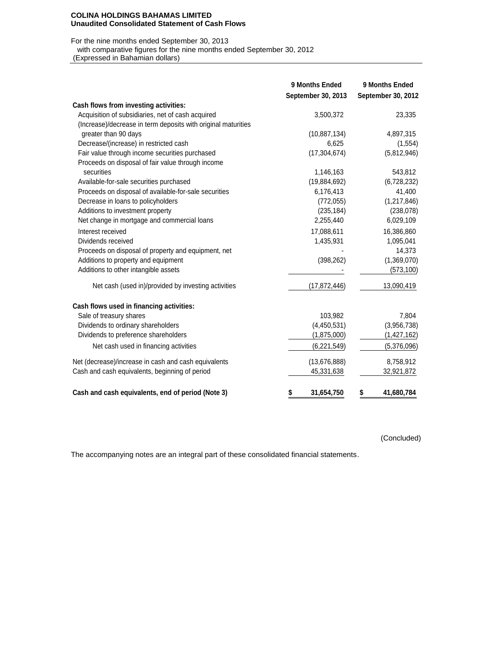#### **COLINA HOLDINGS BAHAMAS LIMITED Unaudited Consolidated Statement of Cash Flows**

## For the nine months ended September 30, 2013

with comparative figures for the nine months ended September 30, 2012

| (Expressed in Bahamian dollars)                               |                    |                    |
|---------------------------------------------------------------|--------------------|--------------------|
|                                                               |                    |                    |
|                                                               | 9 Months Ended     | 9 Months Ended     |
|                                                               | September 30, 2013 | September 30, 2012 |
| Cash flows from investing activities:                         |                    |                    |
| Acquisition of subsidiaries, net of cash acquired             | 3,500,372          | 23,335             |
| (Increase)/decrease in term deposits with original maturities |                    |                    |
| greater than 90 days                                          | (10, 887, 134)     | 4,897,315          |
| Decrease/(increase) in restricted cash                        | 6,625              | (1, 554)           |
| Fair value through income securities purchased                | (17, 304, 674)     | (5,812,946)        |
| Proceeds on disposal of fair value through income             |                    |                    |
| securities                                                    | 1,146,163          | 543,812            |
| Available-for-sale securities purchased                       | (19,884,692)       | (6,728,232)        |
| Proceeds on disposal of available-for-sale securities         | 6,176,413          | 41,400             |
| Decrease in loans to policyholders                            | (772, 055)         | (1,217,846)        |
| Additions to investment property                              | (235, 184)         | (238, 078)         |
| Net change in mortgage and commercial loans                   | 2,255,440          | 6,029,109          |
| Interest received                                             | 17,088,611         | 16,386,860         |
| Dividends received                                            | 1,435,931          | 1,095,041          |
| Proceeds on disposal of property and equipment, net           |                    | 14,373             |
| Additions to property and equipment                           | (398, 262)         | (1,369,070)        |
| Additions to other intangible assets                          |                    | (573, 100)         |
| Net cash (used in)/provided by investing activities           | (17, 872, 446)     | 13,090,419         |
| Cash flows used in financing activities:                      |                    |                    |
| Sale of treasury shares                                       | 103,982            | 7,804              |
| Dividends to ordinary shareholders                            | (4,450,531)        | (3,956,738)        |
| Dividends to preference shareholders                          | (1,875,000)        | (1,427,162)        |
| Net cash used in financing activities                         | (6,221,549)        | (5,376,096)        |
| Net (decrease)/increase in cash and cash equivalents          | (13, 676, 888)     | 8,758,912          |
| Cash and cash equivalents, beginning of period                | 45,331,638         | 32,921,872         |
|                                                               |                    |                    |
| Cash and cash equivalents, end of period (Note 3)             | 31,654,750<br>\$   | \$<br>41,680,784   |

(Concluded)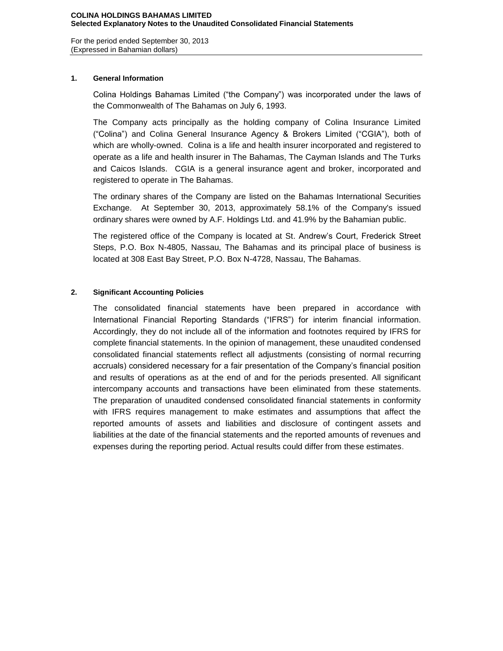For the period ended September 30, 2013 (Expressed in Bahamian dollars)

# **1. General Information**

Colina Holdings Bahamas Limited ("the Company") was incorporated under the laws of the Commonwealth of The Bahamas on July 6, 1993.

The Company acts principally as the holding company of Colina Insurance Limited ("Colina") and Colina General Insurance Agency & Brokers Limited ("CGIA"), both of which are wholly-owned. Colina is a life and health insurer incorporated and registered to operate as a life and health insurer in The Bahamas, The Cayman Islands and The Turks and Caicos Islands. CGIA is a general insurance agent and broker, incorporated and registered to operate in The Bahamas.

The ordinary shares of the Company are listed on the Bahamas International Securities Exchange. At September 30, 2013, approximately 58.1% of the Company's issued ordinary shares were owned by A.F. Holdings Ltd. and 41.9% by the Bahamian public.

The registered office of the Company is located at St. Andrew's Court, Frederick Street Steps, P.O. Box N-4805, Nassau, The Bahamas and its principal place of business is located at 308 East Bay Street, P.O. Box N-4728, Nassau, The Bahamas.

# **2. Significant Accounting Policies**

The consolidated financial statements have been prepared in accordance with International Financial Reporting Standards ("IFRS") for interim financial information. Accordingly, they do not include all of the information and footnotes required by IFRS for complete financial statements. In the opinion of management, these unaudited condensed consolidated financial statements reflect all adjustments (consisting of normal recurring accruals) considered necessary for a fair presentation of the Company's financial position and results of operations as at the end of and for the periods presented. All significant intercompany accounts and transactions have been eliminated from these statements. The preparation of unaudited condensed consolidated financial statements in conformity with IFRS requires management to make estimates and assumptions that affect the reported amounts of assets and liabilities and disclosure of contingent assets and liabilities at the date of the financial statements and the reported amounts of revenues and expenses during the reporting period. Actual results could differ from these estimates.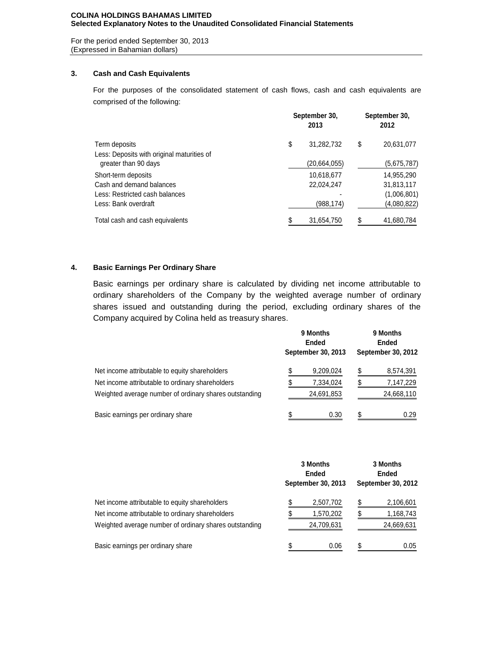### **COLINA HOLDINGS BAHAMAS LIMITED Selected Explanatory Notes to the Unaudited Consolidated Financial Statements**

For the period ended September 30, 2013 (Expressed in Bahamian dollars)

## **3. Cash and Cash Equivalents**

For the purposes of the consolidated statement of cash flows, cash and cash equivalents are comprised of the following:

| Term deposits                              | September 30, | September 30,<br>2012 |    |             |
|--------------------------------------------|---------------|-----------------------|----|-------------|
|                                            | \$            | 31,282,732            | \$ | 20,631,077  |
| Less: Deposits with original maturities of |               |                       |    |             |
| greater than 90 days                       |               | (20,664,055)          |    | (5,675,787) |
| Short-term deposits                        |               | 10,618,677            |    | 14,955,290  |
| Cash and demand balances                   |               | 22,024,247            |    | 31,813,117  |
| Less: Restricted cash balances             |               |                       |    | (1,006,801) |
| Less: Bank overdraft                       |               | (988, 174)            |    | (4,080,822) |
| Total cash and cash equivalents            |               | 31,654,750            |    | 41,680,784  |

# **4. Basic Earnings Per Ordinary Share**

Basic earnings per ordinary share is calculated by dividing net income attributable to ordinary shareholders of the Company by the weighted average number of ordinary shares issued and outstanding during the period, excluding ordinary shares of the Company acquired by Colina held as treasury shares.

|                                                        |  | 9 Months<br>Ended<br>September 30, 2013 | 9 Months<br><b>Ended</b><br>September 30, 2012 |            |  |  |
|--------------------------------------------------------|--|-----------------------------------------|------------------------------------------------|------------|--|--|
| Net income attributable to equity shareholders         |  | 9,209,024                               |                                                | 8,574,391  |  |  |
| Net income attributable to ordinary shareholders       |  | 7,334,024                               |                                                | 7,147,229  |  |  |
| Weighted average number of ordinary shares outstanding |  | 24,691,853                              |                                                | 24,668,110 |  |  |
| Basic earnings per ordinary share                      |  | 0.30                                    |                                                | 0.29       |  |  |

|                                                        | 3 Months<br>Ended<br>September 30, 2013 | 3 Months<br><b>Ended</b><br>September 30, 2012 |            |  |  |
|--------------------------------------------------------|-----------------------------------------|------------------------------------------------|------------|--|--|
| Net income attributable to equity shareholders         | 2,507,702                               |                                                | 2,106,601  |  |  |
| Net income attributable to ordinary shareholders       | 1,570,202                               |                                                | 1,168,743  |  |  |
| Weighted average number of ordinary shares outstanding | 24,709,631                              |                                                | 24,669,631 |  |  |
| Basic earnings per ordinary share                      | 0.06                                    | S.                                             | 0.05       |  |  |